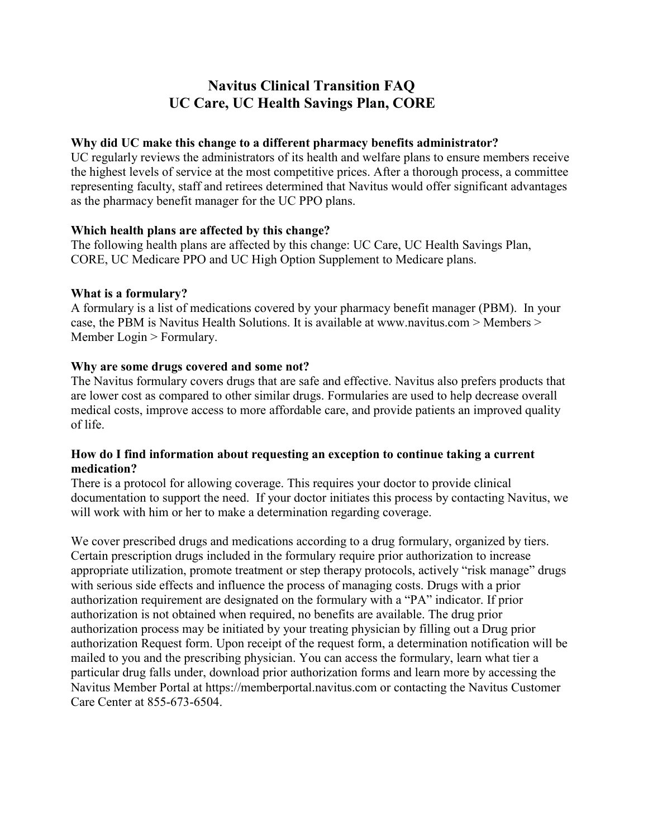# **Navitus Clinical Transition FAQ UC Care, UC Health Savings Plan, CORE**

# **Why did UC make this change to a different pharmacy benefits administrator?**

UC regularly reviews the administrators of its health and welfare plans to ensure members receive the highest levels of service at the most competitive prices. After a thorough process, a committee representing faculty, staff and retirees determined that Navitus would offer significant advantages as the pharmacy benefit manager for the UC PPO plans.

# **Which health plans are affected by this change?**

The following health plans are affected by this change: UC Care, UC Health Savings Plan, CORE, UC Medicare PPO and UC High Option Supplement to Medicare plans.

# **What is a formulary?**

A formulary is a list of medications covered by your pharmacy benefit manager (PBM). In your case, the PBM is Navitus Health Solutions. It is available at www.navitus.com > Members > Member Login > Formulary.

# **Why are some drugs covered and some not?**

The Navitus formulary covers drugs that are safe and effective. Navitus also prefers products that are lower cost as compared to other similar drugs. Formularies are used to help decrease overall medical costs, improve access to more affordable care, and provide patients an improved quality of life.

# **How do I find information about requesting an exception to continue taking a current medication?**

There is a protocol for allowing coverage. This requires your doctor to provide clinical documentation to support the need. If your doctor initiates this process by contacting Navitus, we will work with him or her to make a determination regarding coverage.

We cover prescribed drugs and medications according to a drug formulary, organized by tiers. Certain prescription drugs included in the formulary require prior authorization to increase appropriate utilization, promote treatment or step therapy protocols, actively "risk manage" drugs with serious side effects and influence the process of managing costs. Drugs with a prior authorization requirement are designated on the formulary with a "PA" indicator. If prior authorization is not obtained when required, no benefits are available. The drug prior authorization process may be initiated by your treating physician by filling out a Drug prior authorization Request form. Upon receipt of the request form, a determination notification will be mailed to you and the prescribing physician. You can access the formulary, learn what tier a particular drug falls under, download prior authorization forms and learn more by accessing the Navitus Member Portal at https://memberportal.navitus.com or contacting the Navitus Customer Care Center at 855-673-6504.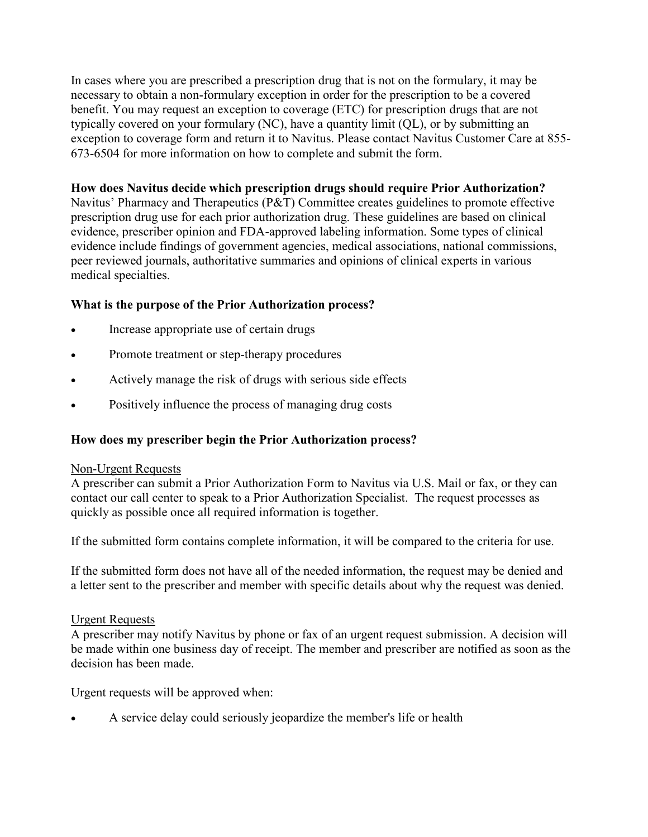In cases where you are prescribed a prescription drug that is not on the formulary, it may be necessary to obtain a non-formulary exception in order for the prescription to be a covered benefit. You may request an exception to coverage (ETC) for prescription drugs that are not typically covered on your formulary (NC), have a quantity limit (QL), or by submitting an exception to coverage form and return it to Navitus. Please contact Navitus Customer Care at 855- 673-6504 for more information on how to complete and submit the form.

## **How does Navitus decide which prescription drugs should require Prior Authorization?**

Navitus' Pharmacy and Therapeutics (P&T) Committee creates guidelines to promote effective prescription drug use for each prior authorization drug. These guidelines are based on clinical evidence, prescriber opinion and FDA-approved labeling information. Some types of clinical evidence include findings of government agencies, medical associations, national commissions, peer reviewed journals, authoritative summaries and opinions of clinical experts in various medical specialties.

# **What is the purpose of the Prior Authorization process?**

- Increase appropriate use of certain drugs
- Promote treatment or step-therapy procedures
- Actively manage the risk of drugs with serious side effects
- Positively influence the process of managing drug costs

# **How does my prescriber begin the Prior Authorization process?**

# Non-Urgent Requests

A prescriber can submit a Prior Authorization Form to Navitus via U.S. Mail or fax, or they can contact our call center to speak to a Prior Authorization Specialist. The request processes as quickly as possible once all required information is together.

If the submitted form contains complete information, it will be compared to the criteria for use.

If the submitted form does not have all of the needed information, the request may be denied and a letter sent to the prescriber and member with specific details about why the request was denied.

## Urgent Requests

A prescriber may notify Navitus by phone or fax of an urgent request submission. A decision will be made within one business day of receipt. The member and prescriber are notified as soon as the decision has been made.

Urgent requests will be approved when:

• A service delay could seriously jeopardize the member's life or health